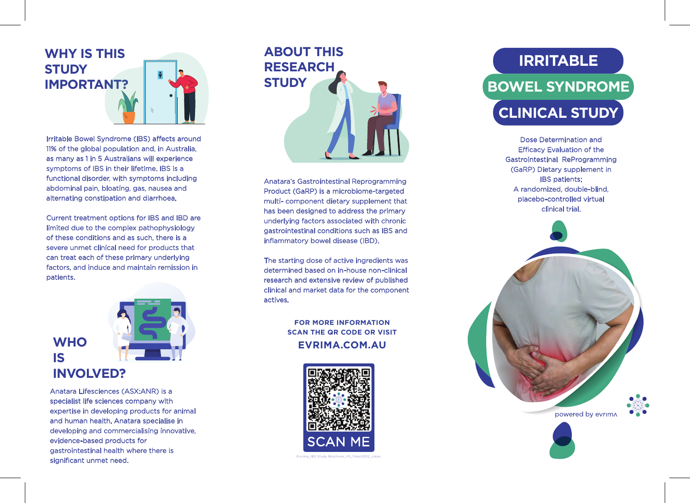## **WHY IS THIS STUDY IMPORTANT?**



Irritable Bowel Syndrome (IBS) affects around 11% of the global population and, in Australia, as many as 1 in 5 Australians will experience symptoms of IBS in their lifetime. IBS is a functional disorder, with symptoms including abdominal pain, bloating, gas, nausea and alternating constipation and diarrhoea.

Current treatment options for IBS and IBD are limited due to the complex pathophysiology of these conditions and as such, there is a severe unmet clinical need for products that can treat each of these primary underlying factors, and induce and maintain remission in patients.



Anatara Lifesciences (ASX:ANR) is a specialist life sciences company with expertise in developing products for animal and human health. Anatara specialise in developing and commercialising innovative, evidence-based products for gastrointestinal health where there is significant unmet need.

# **ABOUT THIS RESEARCH STUDY**

Anatara's Gastrointestinal Reprogramming Product (GaRP) is a microbiome-targeted multi- component dietary supplement that has been designed to address the primary underlying factors associated with chronic gastrointestinal conditions such as IBS and inflammatory bowel disease (IBD).

The starting dose of active ingredients was determined based on in-house non-clinical research and extensive review of published clinical and market data for the component actives.

> **FOR MORE INFORMATION SCAN THE QR CODE OR VISIT EVRIMA.COM.AU**



## **IRRITABLE BOWEL SYNDROME CLINICAL STUDY**

Dose Determination and **Efficacy Evaluation of the** Gastrointestinal ReProgramming (GaRP) Dietary supplement in IBS patients: A randomized, double-blind, placebo-controlled virtual clinical trial.